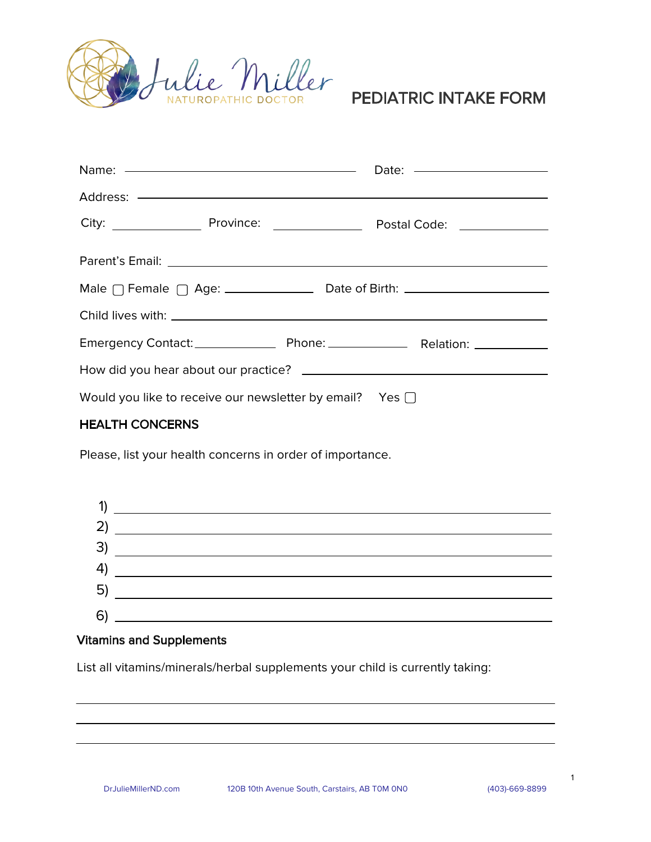

# PEDIATRIC INTAKE FORM

| Name: ———————————————————— Date: ————————————                 |  |  |  |  |
|---------------------------------------------------------------|--|--|--|--|
|                                                               |  |  |  |  |
|                                                               |  |  |  |  |
|                                                               |  |  |  |  |
|                                                               |  |  |  |  |
|                                                               |  |  |  |  |
|                                                               |  |  |  |  |
|                                                               |  |  |  |  |
| Would you like to receive our newsletter by email? Yes $\Box$ |  |  |  |  |

# HEALTH CONCERNS

Please, list your health concerns in order of importance.



### Vitamins and Supplements

List all vitamins/minerals/herbal supplements your child is currently taking: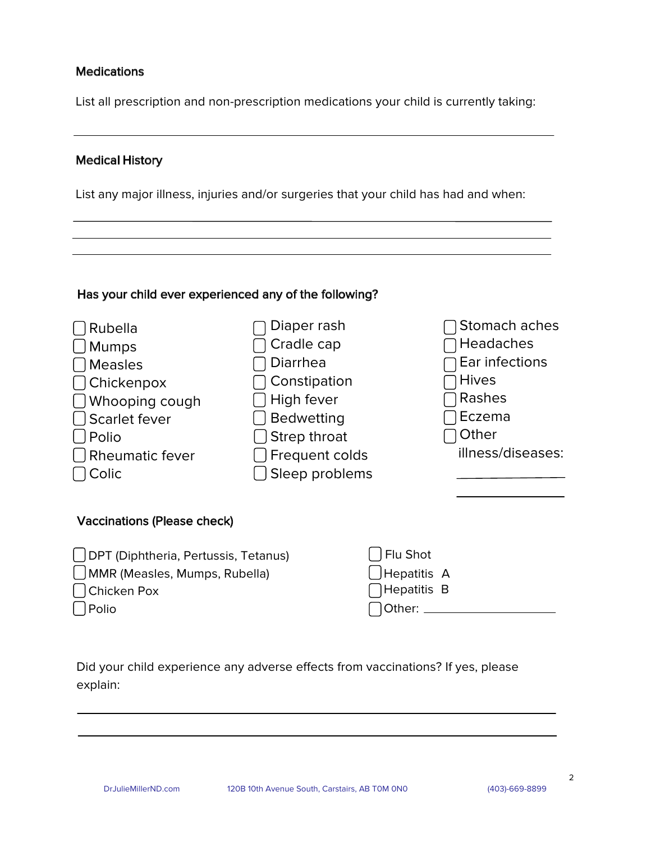# **Medications**

List all prescription and non-prescription medications your child is currently taking:

#### **Medical History**

List any major illness, injuries and/or surgeries that your child has had and when:

# Has your child ever experienced any of the following?

| Rubella                | Diaper rash              | ◯ Stomach aches   |
|------------------------|--------------------------|-------------------|
| $\bigcup$ Mumps        | Cradle cap               | □Headaches        |
| $\bigcap$ Measles      | Diarrhea                 | ↑ Ear infections  |
| $\Box$ Chickenpox      | Constipation             | רHives            |
| $\Box$ Whooping cough  | High fever               | Rashes            |
| $\Box$ Scarlet fever   | Bedwetting               | ∃Eczema           |
| $\Box$ Polio           | $\bigcap$ Strep throat   | Other             |
| $\Box$ Rheumatic fever | $\bigcap$ Frequent colds | illness/diseases: |
| Colic                  | Sleep problems           |                   |

### Vaccinations (Please check)

Did your child experience any adverse effects from vaccinations? If yes, please explain: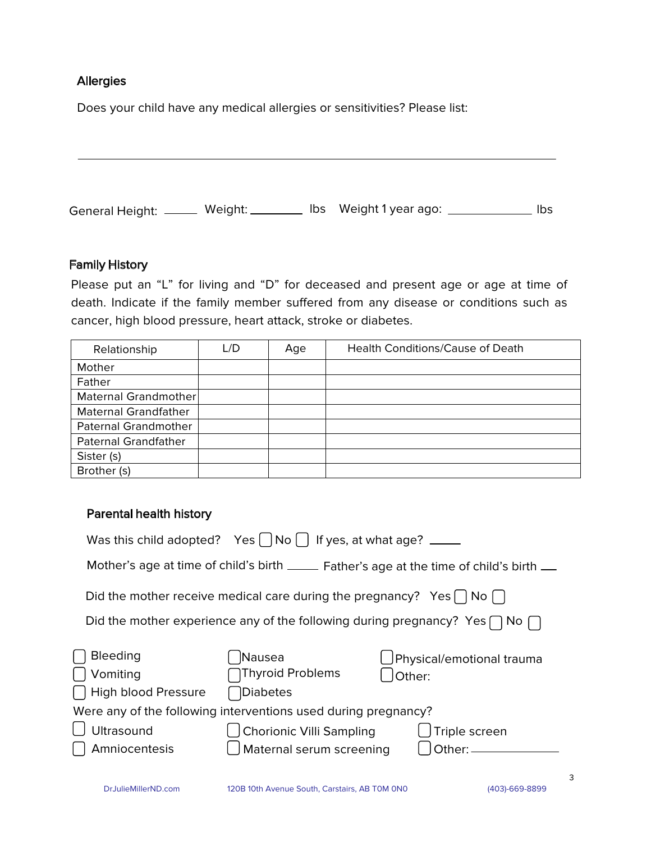## **Allergies**

Does your child have any medical allergies or sensitivities? Please list:

| General Height: - | Weight: |  | Ibs Weight 1 year ago: | lbs. |
|-------------------|---------|--|------------------------|------|
|-------------------|---------|--|------------------------|------|

# **Family History**

Please put an "L" for living and "D" for deceased and present age or age at time of death. Indicate if the family member suffered from any disease or conditions such as cancer, high blood pressure, heart attack, stroke or diabetes.

| Relationship                | L/D | Age | Health Conditions/Cause of Death |
|-----------------------------|-----|-----|----------------------------------|
| Mother                      |     |     |                                  |
| Father                      |     |     |                                  |
| Maternal Grandmother        |     |     |                                  |
| <b>Maternal Grandfather</b> |     |     |                                  |
| <b>Paternal Grandmother</b> |     |     |                                  |
| <b>Paternal Grandfather</b> |     |     |                                  |
| Sister (s)                  |     |     |                                  |
| Brother (s)                 |     |     |                                  |

#### Parental health history

| Mother's age at time of child's birth _____ Father's age at the time of child's birth __<br>Did the mother receive medical care during the pregnancy? Yes $\vert$ No $\vert$<br>Did the mother experience any of the following during pregnancy? Yes $\bigcap$ No $\bigcap$<br>Bleeding<br>Nausea<br>Physical/emotional trauma<br><b>Thyroid Problems</b><br>Vomiting<br>Other:<br>High blood Pressure<br>Diabetes<br>Were any of the following interventions used during pregnancy?<br>Ultrasound<br>Chorionic Villi Sampling<br>Triple screen<br>Amniocentesis<br>Maternal serum screening<br>Other: $-$ | Was this child adopted? Yes $\left[\begin{array}{c c} \text{No} \\ \text{No} \\ \text{I} \\ \text{I} \\ \text{I} \\ \text{S} \\ \text{S} \\ \text{S} \\ \text{S} \\ \text{S} \\ \text{V} \\ \text{S} \\ \text{S} \\ \text{S} \\ \text{S} \\ \text{S} \\ \text{S} \\ \text{S} \\ \text{S} \\ \text{S} \\ \text{S} \\ \text{S} \\ \text{S} \\ \text{S} \\ \text{S} \\ \text{S} \\ \text{S} \\ \text{S} \\ \text{S} \\ \text{S} \\ \$ |  |
|------------------------------------------------------------------------------------------------------------------------------------------------------------------------------------------------------------------------------------------------------------------------------------------------------------------------------------------------------------------------------------------------------------------------------------------------------------------------------------------------------------------------------------------------------------------------------------------------------------|------------------------------------------------------------------------------------------------------------------------------------------------------------------------------------------------------------------------------------------------------------------------------------------------------------------------------------------------------------------------------------------------------------------------------------|--|
|                                                                                                                                                                                                                                                                                                                                                                                                                                                                                                                                                                                                            |                                                                                                                                                                                                                                                                                                                                                                                                                                    |  |
|                                                                                                                                                                                                                                                                                                                                                                                                                                                                                                                                                                                                            |                                                                                                                                                                                                                                                                                                                                                                                                                                    |  |
|                                                                                                                                                                                                                                                                                                                                                                                                                                                                                                                                                                                                            |                                                                                                                                                                                                                                                                                                                                                                                                                                    |  |
|                                                                                                                                                                                                                                                                                                                                                                                                                                                                                                                                                                                                            |                                                                                                                                                                                                                                                                                                                                                                                                                                    |  |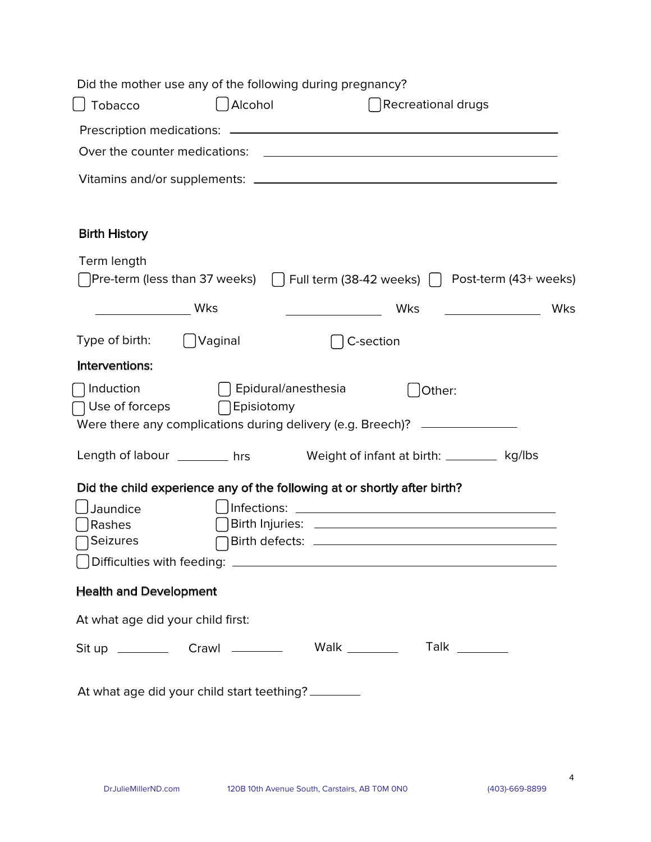|                                           | Did the mother use any of the following during pregnancy?                                         |           |                                                                                                  |
|-------------------------------------------|---------------------------------------------------------------------------------------------------|-----------|--------------------------------------------------------------------------------------------------|
| Tobacco                                   | Alcohol                                                                                           |           | <b>Recreational drugs</b>                                                                        |
|                                           |                                                                                                   |           |                                                                                                  |
|                                           |                                                                                                   |           |                                                                                                  |
|                                           |                                                                                                   |           |                                                                                                  |
| <b>Birth History</b>                      |                                                                                                   |           |                                                                                                  |
| Term length                               |                                                                                                   |           | $\Box$ Pre-term (less than 37 weeks) $\Box$ Full term (38-42 weeks) $\Box$ Post-term (43+ weeks) |
|                                           | Wks                                                                                               | Wks       | Wks                                                                                              |
| Type of birth:                            | Vaginal                                                                                           | C-section |                                                                                                  |
| Interventions:                            |                                                                                                   |           |                                                                                                  |
| Induction<br>◯ Use of forceps (Episiotomy | Epidural/anesthesia<br>Were there any complications during delivery (e.g. Breech)? ______________ |           | Other:                                                                                           |
|                                           |                                                                                                   |           | Length of labour __________ hrs Weight of infant at birth: __________ kg/lbs                     |
| Jaundice<br>Rashes<br><b>Seizures</b>     | Did the child experience any of the following at or shortly after birth?                          |           |                                                                                                  |
| <b>Health and Development</b>             |                                                                                                   |           |                                                                                                  |
| At what age did your child first:         |                                                                                                   |           |                                                                                                  |
|                                           |                                                                                                   |           | Talk ________                                                                                    |
|                                           | At what age did your child start teething?                                                        |           |                                                                                                  |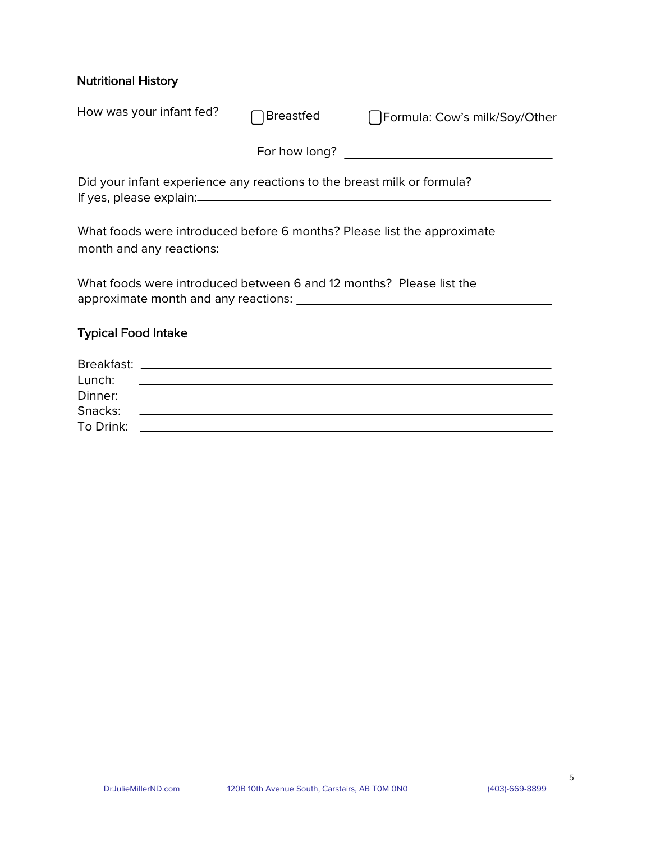# Nutritional History

| How was your infant fed?                                                | Breastfed | Formula: Cow's milk/Soy/Other |
|-------------------------------------------------------------------------|-----------|-------------------------------|
|                                                                         |           |                               |
| Did your infant experience any reactions to the breast milk or formula? |           |                               |
| What foods were introduced before 6 months? Please list the approximate |           |                               |
| What foods were introduced between 6 and 12 months? Please list the     |           |                               |
| Tynical Food Intake                                                     |           |                               |

# Typical Food Intake

| Lunch:    | <u> 1980 - Jan Samuel Barbara, margaret a shekara 1980 - An tsara 1980 - An tsara 1980 - An tsara 1980 - An tsar</u> |
|-----------|----------------------------------------------------------------------------------------------------------------------|
| Dinner:   |                                                                                                                      |
|           |                                                                                                                      |
| To Drink: |                                                                                                                      |
|           |                                                                                                                      |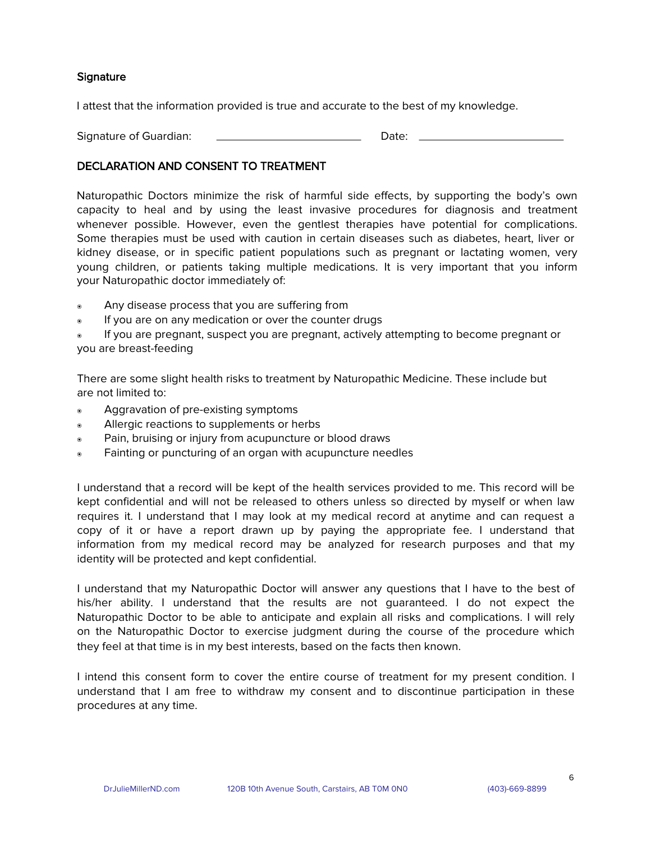#### Signature

I attest that the information provided is true and accurate to the best of my knowledge.

EWU]McdaR^S8dMaQWM]͛ 5McR͛

### DECLARATION AND CONSENT TO TREATMENT

Naturopathic Doctors minimize the risk of harmful side effects, by supporting the body's own capacity to heal and by using the least invasive procedures for diagnosis and treatment whenever possible. However, even the gentlest therapies have potential for complications. Some therapies must be used with caution in certain diseases such as diabetes, heart, liver or kidney disease, or in specific patient populations such as pregnant or lactating women, very young children, or patients taking multiple medications. It is very important that you inform your Naturopathic doctor immediately of:

- Any disease process that you are suffering from
- $\bullet$  If you are on any medication or over the counter drugs

If you are pregnant, suspect you are pregnant, actively attempting to become pregnant or you are breast-feeding

There are some slight health risks to treatment by Naturopathic Medicine. These include but are not limited to:

- . Aggravation of pre-existing symptoms
- Allergic reactions to supplements or herbs
- . Pain, bruising or injury from acupuncture or blood draws
- Fainting or puncturing of an organ with acupuncture needles

I understand that a record will be kept of the health services provided to me. This record will be kept confidential and will not be released to others unless so directed by myself or when law requires it. I understand that I may look at my medical record at anytime and can request a copy of it or have a report drawn up by paying the appropriate fee. I understand that information from my medical record may be analyzed for research purposes and that my identity will be protected and kept confidential.

I understand that my Naturopathic Doctor will answer any questions that I have to the best of his/her ability. I understand that the results are not quaranteed. I do not expect the Naturopathic Doctor to be able to anticipate and explain all risks and complications. I will rely on the Naturopathic Doctor to exercise judgment during the course of the procedure which they feel at that time is in my best interests, based on the facts then known.

I intend this consent form to cover the entire course of treatment for my present condition. I understand that I am free to withdraw my consent and to discontinue participation in these procedures at any time.